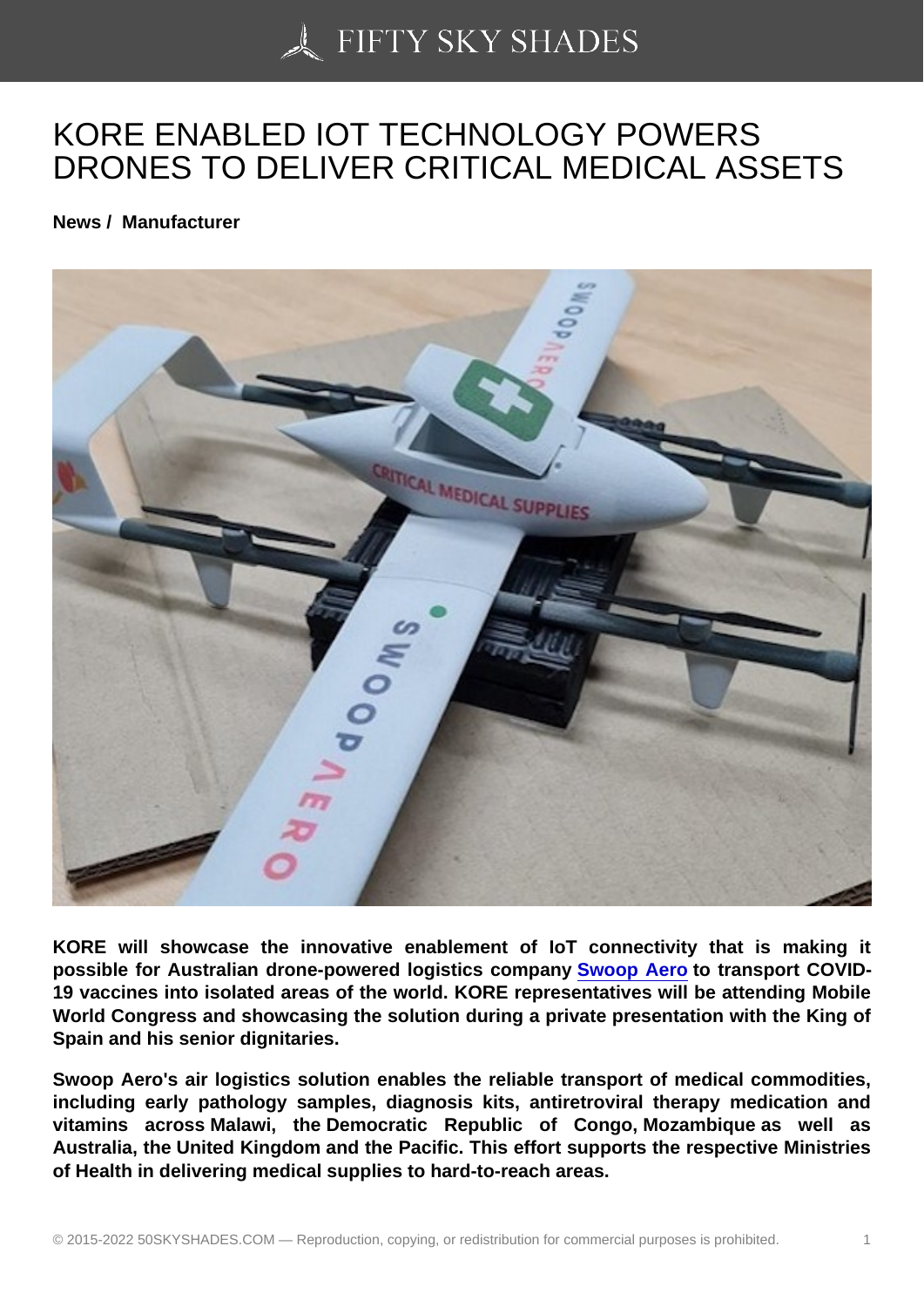## [KORE ENABLED IOT](https://50skyshades.com) TECHNOLOGY POWERS DRONES TO DELIVER CRITICAL MEDICAL ASSETS

News / Manufacturer

KORE will showcase the innovative enablement of IoT connectivity that is making it possible for Australian drone-powered logistics company Swoop Aero to transport COVID-19 vaccines into isolated areas of the world. KORE representatives will be attending Mobile World Congress and showcasing the solution during a private presentation with the King of Spain and his senior dignitaries.

Swoop Aero's air logistics solution enables the reliable transport of medical commodities, including early pathology samples, diagnosis kits, antiretroviral therapy medication and vitamins across Malawi, the Democratic Republic of Congo, Mozambique as well as Australia, the United Kingdom and the Pacific. This effort supports the respective Ministries of Health in delivering medical supplies to hard-to-reach areas.